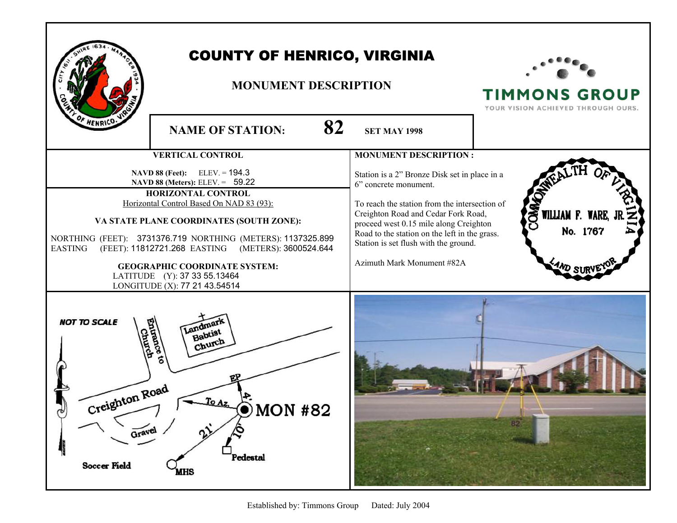| HENRICO:                                                                     | <b>COUNTY OF HENRICO, VIRGINIA</b><br><b>MONUMENT DESCRIPTION</b><br>82                                                                                                                                                                                                                                                                                                                                                                               |                                                                                                                                                                                                                                                                                                                                                                  | <b>TIMMONS GROUP</b><br>YOUR VISION ACHIEVED THROUGH OURS. |
|------------------------------------------------------------------------------|-------------------------------------------------------------------------------------------------------------------------------------------------------------------------------------------------------------------------------------------------------------------------------------------------------------------------------------------------------------------------------------------------------------------------------------------------------|------------------------------------------------------------------------------------------------------------------------------------------------------------------------------------------------------------------------------------------------------------------------------------------------------------------------------------------------------------------|------------------------------------------------------------|
|                                                                              | <b>NAME OF STATION:</b>                                                                                                                                                                                                                                                                                                                                                                                                                               | <b>SET MAY 1998</b>                                                                                                                                                                                                                                                                                                                                              |                                                            |
| <b>EASTING</b>                                                               | <b>VERTICAL CONTROL</b><br><b>NAVD 88 (Feet):</b> ELEV. = $194.3$<br>NAVD 88 (Meters): ELEV. $= 59.22$<br>HORIZONTAL CONTROL<br>Horizontal Control Based On NAD 83 (93):<br>VA STATE PLANE COORDINATES (SOUTH ZONE):<br>NORTHING (FEET): 3731376.719 NORTHING (METERS): 1137325.899<br>(FEET): 11812721.268 EASTING<br>(METERS): 3600524.644<br><b>GEOGRAPHIC COORDINATE SYSTEM:</b><br>LATITUDE (Y): 37 33 55.13464<br>LONGITUDE (X): 77 21 43.54514 | <b>MONUMENT DESCRIPTION:</b><br>Station is a 2" Bronze Disk set in place in a<br>6" concrete monument.<br>To reach the station from the intersection of<br>Creighton Road and Cedar Fork Road,<br>proceed west 0.15 mile along Creighton<br>Road to the station on the left in the grass.<br>Station is set flush with the ground.<br>Azimuth Mark Monument #82A | OMMO<br>WILLIAM F. WARE,<br>No. 1767                       |
| <b>NOT TO SCALE</b><br>Creighton Road<br>৻ৠ<br>Gravel<br><b>Soccer Field</b> | Landman<br>Babtist<br>Church<br>D MON #82<br>$\gamma$<br>Pedestal<br><b>MHS</b>                                                                                                                                                                                                                                                                                                                                                                       |                                                                                                                                                                                                                                                                                                                                                                  | 82                                                         |